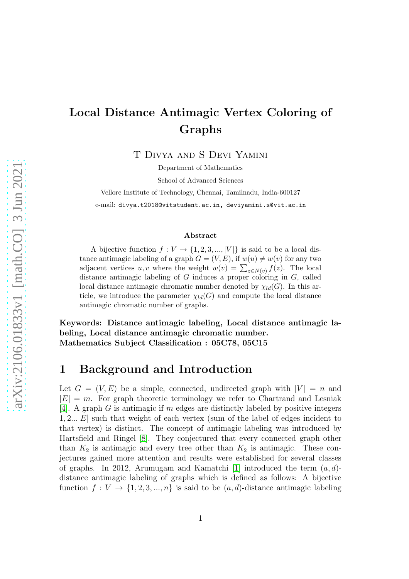# arXiv:2106.01833v1 [math.CO] 3 Jun 2021 [arXiv:2106.01833v1 \[math.CO\] 3 Jun 2021](http://arxiv.org/abs/2106.01833v1)

# Local Distance Antimagic Vertex Coloring of Graphs

T Divya and S Devi Yamini

Department of Mathematics

School of Advanced Sciences

Vellore Institute of Technology, Chennai, Tamilnadu, India-600127 e-mail: divya.t2018@vitstudent.ac.in, deviyamini.s@vit.ac.in

### Abstract

A bijective function  $f: V \to \{1, 2, 3, ..., |V|\}$  is said to be a local distance antimagic labeling of a graph  $G = (V, E)$ , if  $w(u) \neq w(v)$  for any two adjacent vertices u, v where the weight  $w(v) = \sum_{z \in N(v)} f(z)$ . The local distance antimagic labeling of  $G$  induces a proper coloring in  $G$ , called local distance antimagic chromatic number denoted by  $\chi_{ld}(G)$ . In this article, we introduce the parameter  $\chi_{ld}(G)$  and compute the local distance antimagic chromatic number of graphs.

Keywords: Distance antimagic labeling, Local distance antimagic labeling, Local distance antimagic chromatic number. Mathematics Subject Classification : 05C78, 05C15

### 1 Background and Introduction

Let  $G = (V, E)$  be a simple, connected, undirected graph with  $|V| = n$  and  $|E| = m$ . For graph theoretic terminology we refer to Chartrand and Lesniak [\[4\]](#page-18-0). A graph G is antimagic if m edges are distinctly labeled by positive integers 1, 2... $|E|$  such that weight of each vertex (sum of the label of edges incident to that vertex) is distinct. The concept of antimagic labeling was introduced by Hartsfield and Ringel [\[8\]](#page-19-0). They conjectured that every connected graph other than  $K_2$  is antimagic and every tree other than  $K_2$  is antimagic. These conjectures gained more attention and results were established for several classes of graphs. In 2012, Arumugam and Kamatchi [\[1\]](#page-18-1) introduced the term  $(a, d)$ distance antimagic labeling of graphs which is defined as follows: A bijective function  $f: V \to \{1, 2, 3, ..., n\}$  is said to be  $(a, d)$ -distance antimagic labeling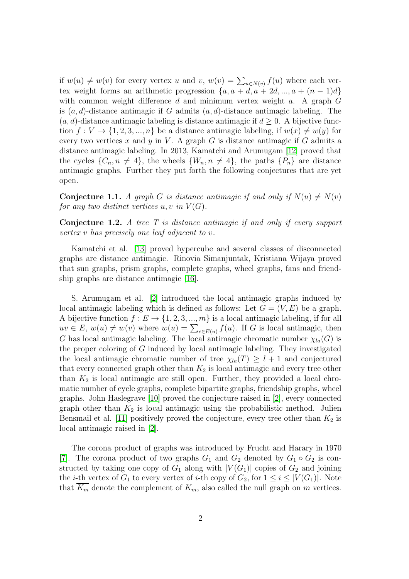if  $w(u) \neq w(v)$  for every vertex u and v,  $w(v) = \sum_{u \in N(v)} f(u)$  where each vertex weight forms an arithmetic progression  $\{a, a + d, a + 2d, ..., a + (n-1)d\}$ with common weight difference  $d$  and minimum vertex weight  $a$ . A graph  $G$ is  $(a, d)$ -distance antimagic if G admits  $(a, d)$ -distance antimagic labeling. The  $(a, d)$ -distance antimagic labeling is distance antimagic if  $d \geq 0$ . A bijective function  $f: V \to \{1, 2, 3, ..., n\}$  be a distance antimagic labeling, if  $w(x) \neq w(y)$  for every two vertices x and y in V. A graph G is distance antimagic if G admits a distance antimagic labeling. In 2013, Kamatchi and Arumugam [\[12\]](#page-19-1) proved that the cycles  $\{C_n, n \neq 4\}$ , the wheels  $\{W_n, n \neq 4\}$ , the paths  $\{P_n\}$  are distance antimagic graphs. Further they put forth the following conjectures that are yet open.

Conjecture 1.1. *A graph G is distance antimagic if and only if*  $N(u) \neq N(v)$ *for any two distinct vertices*  $u, v$  *in*  $V(G)$ *.* 

Conjecture 1.2. *A tree T is distance antimagic if and only if every support vertex* v *has precisely one leaf adjacent to* v*.*

Kamatchi et al. [\[13\]](#page-19-2) proved hypercube and several classes of disconnected graphs are distance antimagic. Rinovia Simanjuntak, Kristiana Wijaya proved that sun graphs, prism graphs, complete graphs, wheel graphs, fans and friendship graphs are distance antimagic [\[16\]](#page-19-3).

S. Arumugam et al. [\[2\]](#page-18-2) introduced the local antimagic graphs induced by local antimagic labeling which is defined as follows: Let  $G = (V, E)$  be a graph. A bijective function  $f: E \to \{1, 2, 3, ..., m\}$  is a local antimagic labeling, if for all  $uv \in E$ ,  $w(u) \neq w(v)$  where  $w(u) = \sum_{e \in E(u)} f(u)$ . If G is local antimagic, then G has local antimagic labeling. The local antimagic chromatic number  $\chi_{la}(G)$  is the proper coloring of G induced by local antimagic labeling. They investigated the local antimagic chromatic number of tree  $\chi_{la}(T) \geq l+1$  and conjectured that every connected graph other than  $K_2$  is local antimagic and every tree other than  $K_2$  is local antimagic are still open. Further, they provided a local chromatic number of cycle graphs, complete bipartite graphs, friendship graphs, wheel graphs. John Haslegrave [\[10\]](#page-19-4) proved the conjecture raised in [\[2\]](#page-18-2), every connected graph other than  $K_2$  is local antimagic using the probabilistic method. Julien Bensmail et al. [\[11\]](#page-19-5) positively proved the conjecture, every tree other than  $K_2$  is local antimagic raised in [\[2\]](#page-18-2).

The corona product of graphs was introduced by Frucht and Harary in 1970 [\[7\]](#page-19-6). The corona product of two graphs  $G_1$  and  $G_2$  denoted by  $G_1 \circ G_2$  is constructed by taking one copy of  $G_1$  along with  $|V(G_1)|$  copies of  $G_2$  and joining the *i*-th vertex of  $G_1$  to every vertex of *i*-th copy of  $G_2$ , for  $1 \leq i \leq |V(G_1)|$ . Note that  $K_m$  denote the complement of  $K_m$ , also called the null graph on m vertices.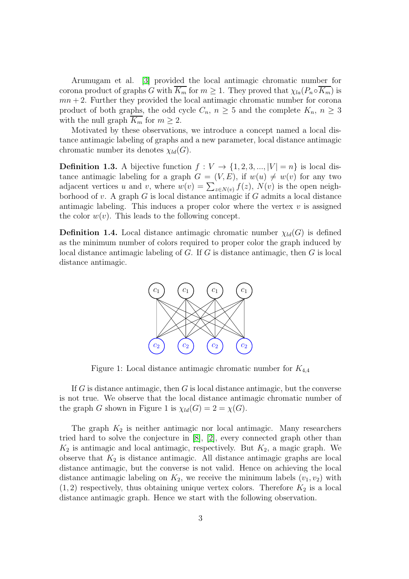Arumugam et al. [\[3\]](#page-18-3) provided the local antimagic chromatic number for corona product of graphs G with  $K_m$  for  $m \geq 1$ . They proved that  $\chi_{la}(P_n \circ K_m)$  is  $mn + 2$ . Further they provided the local antimagic chromatic number for corona product of both graphs, the odd cycle  $C_n$ ,  $n \geq 5$  and the complete  $K_n$ ,  $n \geq 3$ with the null graph  $K_m$  for  $m \geq 2$ .

Motivated by these observations, we introduce a concept named a local distance antimagic labeling of graphs and a new parameter, local distance antimagic chromatic number its denotes  $\chi_{ld}(G)$ .

**Definition 1.3.** A bijective function  $f: V \to \{1, 2, 3, ..., |V| = n\}$  is local distance antimagic labeling for a graph  $G = (V, E)$ , if  $w(u) \neq w(v)$  for any two adjacent vertices u and v, where  $w(v) = \sum_{z \in N(v)} f(z)$ ,  $N(v)$  is the open neighborhood of v. A graph  $G$  is local distance antimagic if  $G$  admits a local distance antimagic labeling. This induces a proper color where the vertex  $v$  is assigned the color  $w(v)$ . This leads to the following concept.

**Definition 1.4.** Local distance antimagic chromatic number  $\chi_{ld}(G)$  is defined as the minimum number of colors required to proper color the graph induced by local distance antimagic labeling of  $G$ . If  $G$  is distance antimagic, then  $G$  is local distance antimagic.



Figure 1: Local distance antimagic chromatic number for  $K_{4,4}$ 

If G is distance antimagic, then G is local distance antimagic, but the converse is not true. We observe that the local distance antimagic chromatic number of the graph G shown in Figure 1 is  $\chi_{ld}(G) = 2 = \chi(G)$ .

The graph  $K_2$  is neither antimagic nor local antimagic. Many researchers tried hard to solve the conjecture in [\[8\]](#page-19-0), [\[2\]](#page-18-2), every connected graph other than  $K_2$  is antimagic and local antimagic, respectively. But  $K_2$ , a magic graph. We observe that  $K_2$  is distance antimagic. All distance antimagic graphs are local distance antimagic, but the converse is not valid. Hence on achieving the local distance antimagic labeling on  $K_2$ , we receive the minimum labels  $(v_1, v_2)$  with  $(1, 2)$  respectively, thus obtaining unique vertex colors. Therefore  $K_2$  is a local distance antimagic graph. Hence we start with the following observation.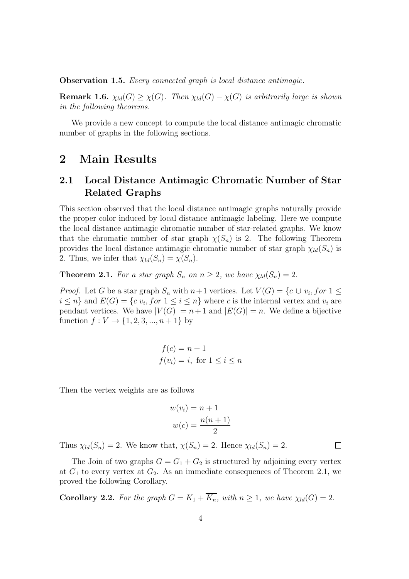Observation 1.5. *Every connected graph is local distance antimagic.*

**Remark 1.6.**  $\chi_{ld}(G) \geq \chi(G)$ *. Then*  $\chi_{ld}(G) - \chi(G)$  *is arbitrarily large is shown in the following theorems.*

We provide a new concept to compute the local distance antimagic chromatic number of graphs in the following sections.

### 2 Main Results

### 2.1 Local Distance Antimagic Chromatic Number of Star Related Graphs

This section observed that the local distance antimagic graphs naturally provide the proper color induced by local distance antimagic labeling. Here we compute the local distance antimagic chromatic number of star-related graphs. We know that the chromatic number of star graph  $\chi(S_n)$  is 2. The following Theorem provides the local distance antimagic chromatic number of star graph  $\chi_{ld}(S_n)$  is 2. Thus, we infer that  $\chi_{ld}(S_n) = \chi(S_n)$ .

**Theorem 2.1.** *For a star graph*  $S_n$  *on*  $n \geq 2$ *, we have*  $\chi_{ld}(S_n) = 2$ *.* 

*Proof.* Let G be a star graph  $S_n$  with  $n+1$  vertices. Let  $V(G) = \{c \cup v_i, for 1 \leq i \leq n\}$  $i \leq n$  and  $E(G) = \{c \ v_i, for \ 1 \leq i \leq n\}$  where c is the internal vertex and  $v_i$  are pendant vertices. We have  $|V(G)| = n+1$  and  $|E(G)| = n$ . We define a bijective function  $f: V \to \{1, 2, 3, ..., n+1\}$  by

$$
f(c) = n + 1
$$
  

$$
f(v_i) = i, \text{ for } 1 \le i \le n
$$

Then the vertex weights are as follows

$$
w(vi) = n + 1
$$

$$
w(c) = \frac{n(n+1)}{2}
$$

Thus  $\chi_{ld}(S_n) = 2$ . We know that,  $\chi(S_n) = 2$ . Hence  $\chi_{ld}(S_n) = 2$ .

The Join of two graphs  $G = G_1 + G_2$  is structured by adjoining every vertex at  $G_1$  to every vertex at  $G_2$ . As an immediate consequences of Theorem 2.1, we proved the following Corollary.

**Corollary 2.2.** *For the graph*  $G = K_1 + \overline{K_n}$ *, with*  $n \geq 1$ *, we have*  $\chi_{ld}(G) = 2$ *.* 

 $\Box$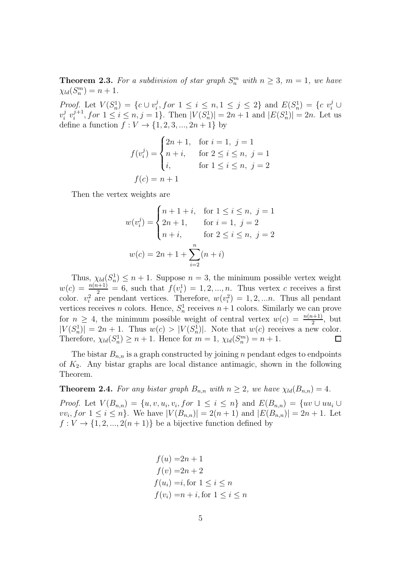**Theorem 2.3.** For a subdivision of star graph  $S_n^m$  with  $n \geq 3$ ,  $m = 1$ , we have  $\chi_{ld}(S_n^m) = n + 1.$ 

*Proof.* Let  $V(S_n^1) = \{c \cup v_i^j\}$  $i, for 1 \leq i \leq n, 1 \leq j \leq 2$ } and  $E(S_n^1) = \{c \ v_i^j \cup$  $v_i^j$  $i \, v_i^{j+1}$  $i^{j+1}$ , for  $1 \le i \le n, j = 1$ . Then  $|V(S_n^1)| = 2n + 1$  and  $|E(S_n^1)| = 2n$ . Let us define a function  $f: V \to \{1, 2, 3, ..., 2n + 1\}$  by

$$
f(v_i^j) = \begin{cases} 2n+1, & \text{for } i = 1, j = 1 \\ n+i, & \text{for } 2 \le i \le n, j = 1 \\ i, & \text{for } 1 \le i \le n, j = 2 \end{cases}
$$

$$
f(c) = n+1
$$

Then the vertex weights are

$$
w(v_i^j) = \begin{cases} n+1+i, & \text{for } 1 \le i \le n, j = 1 \\ 2n+1, & \text{for } i = 1, j = 2 \\ n+i, & \text{for } 2 \le i \le n, j = 2 \end{cases}
$$

$$
w(c) = 2n+1+\sum_{i=2}^n (n+i)
$$

Thus,  $\chi_{ld}(S_n^1) \leq n+1$ . Suppose  $n=3$ , the minimum possible vertex weight  $w(c) = \frac{n(n+1)}{2} = 6$ , such that  $f(v_i^1) = 1, 2, ..., n$ . Thus vertex c receives a first color.  $v_i^2$  are pendant vertices. Therefore,  $w(v_i^2) = 1, 2, \dots n$ . Thus all pendant vertices receives *n* colors. Hence,  $S_n^1$  receives  $n+1$  colors. Similarly we can prove for  $n \geq 4$ , the minimum possible weight of central vertex  $w(c) = \frac{n(n+1)}{2}$ , but  $|V(S_n^1)| = 2n + 1$ . Thus  $w(c) > |V(S_n^1)|$ . Note that  $w(c)$  receives a new color. Therefore,  $\chi_{ld}(S_n^1) \geq n+1$ . Hence for  $m = 1$ ,  $\chi_{ld}(S_n^m) = n+1$ .  $\Box$ 

The bistar  $B_{n,n}$  is a graph constructed by joining n pendant edges to endpoints of  $K_2$ . Any bistar graphs are local distance antimagic, shown in the following Theorem.

**Theorem 2.4.** *For any bistar graph*  $B_{n,n}$  *with*  $n \geq 2$ *, we have*  $\chi_{ld}(B_{n,n}) = 4$ *.* 

*Proof.* Let  $V(B_{n,n}) = \{u, v, u_i, v_i, for \ 1 \leq i \leq n\}$  and  $E(B_{n,n}) = \{uv \cup uu_i \cup$  $vv_i$ , for  $1 \leq i \leq n$ . We have  $|V(B_{n,n})| = 2(n+1)$  and  $|E(B_{n,n})| = 2n+1$ . Let  $f: V \to \{1, 2, ..., 2(n+1)\}\$ be a bijective function defined by

$$
f(u) = 2n + 1
$$
  
\n
$$
f(v) = 2n + 2
$$
  
\n
$$
f(u_i) = i, \text{ for } 1 \le i \le n
$$
  
\n
$$
f(v_i) = n + i, \text{ for } 1 \le i \le n
$$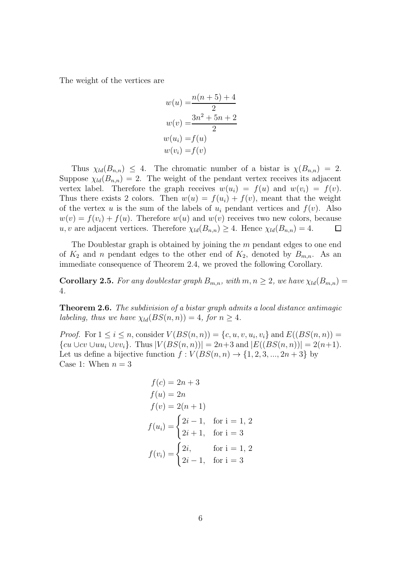The weight of the vertices are

$$
w(u) = \frac{n(n+5)+4}{2}
$$
  
\n
$$
w(v) = \frac{3n^2+5n+2}{2}
$$
  
\n
$$
w(u_i) = f(u)
$$
  
\n
$$
w(v_i) = f(v)
$$

Thus  $\chi_{ld}(B_{n,n}) \leq 4$ . The chromatic number of a bistar is  $\chi(B_{n,n}) = 2$ . Suppose  $\chi_{ld}(B_{n,n}) = 2$ . The weight of the pendant vertex receives its adjacent vertex label. Therefore the graph receives  $w(u_i) = f(u)$  and  $w(v_i) = f(v)$ . Thus there exists 2 colors. Then  $w(u) = f(u_i) + f(v)$ , meant that the weight of the vertex u is the sum of the labels of  $u_i$  pendant vertices and  $f(v)$ . Also  $w(v) = f(v_i) + f(u)$ . Therefore  $w(u)$  and  $w(v)$  receives two new colors, because u, v are adjacent vertices. Therefore  $\chi_{ld}(B_{n,n}) \geq 4$ . Hence  $\chi_{ld}(B_{n,n}) = 4$ .  $\Box$ 

The Doublestar graph is obtained by joining the m pendant edges to one end of  $K_2$  and n pendant edges to the other end of  $K_2$ , denoted by  $B_{m,n}$ . As an immediate consequence of Theorem 2.4, we proved the following Corollary.

**Corollary 2.5.** *For any doublestar graph*  $B_{m,n}$ *, with*  $m, n \geq 2$ *, we have*  $\chi_{ld}(B_{m,n}) =$ 4*.*

Theorem 2.6. *The subdivision of a bistar graph admits a local distance antimagic labeling, thus we have*  $\chi_{ld}(BS(n,n)) = 4$ *, for*  $n \geq 4$ *.* 

*Proof.* For  $1 \leq i \leq n$ , consider  $V(BS(n,n)) = \{c, u, v, u_i, v_i\}$  and  $E((BS(n,n)) =$  ${cu \cup cv \cup uu_i \cup vv_i}.$  Thus  $|V(BS(n, n))| = 2n+3$  and  $|E((BS(n, n))| = 2(n+1).$ Let us define a bijective function  $f: V(BS(n, n) \rightarrow \{1, 2, 3, ..., 2n + 3\}$  by Case 1: When  $n = 3$ 

$$
f(c) = 2n + 3
$$
  
\n
$$
f(u) = 2n
$$
  
\n
$$
f(v) = 2(n + 1)
$$
  
\n
$$
f(u_i) = \begin{cases} 2i - 1, & \text{for } i = 1, 2 \\ 2i + 1, & \text{for } i = 3 \end{cases}
$$
  
\n
$$
f(v_i) = \begin{cases} 2i, & \text{for } i = 1, 2 \\ 2i - 1, & \text{for } i = 3 \end{cases}
$$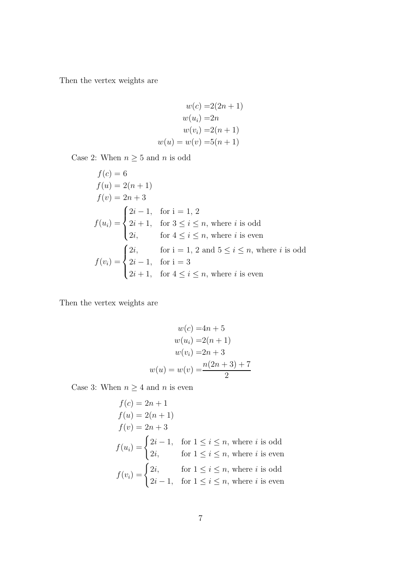$$
w(c) = 2(2n + 1)
$$

$$
w(ui) = 2n
$$

$$
w(vi) = 2(n + 1)
$$

$$
w(u) = w(v) = 5(n + 1)
$$

Case 2: When  $n \geq 5$  and n is odd

$$
f(c) = 6
$$
  
\n
$$
f(u) = 2(n + 1)
$$
  
\n
$$
f(v) = 2n + 3
$$
  
\n
$$
f(u_i) = \begin{cases} 2i - 1, & \text{for } i = 1, 2 \\ 2i + 1, & \text{for } 3 \le i \le n, \text{ where } i \text{ is odd} \\ 2i, & \text{for } 4 \le i \le n, \text{ where } i \text{ is even} \end{cases}
$$
  
\n
$$
f(v_i) = \begin{cases} 2i, & \text{for } i = 1, 2 \text{ and } 5 \le i \le n, \text{ where } i \text{ is odd} \\ 2i - 1, & \text{for } i = 3 \\ 2i + 1, & \text{for } 4 \le i \le n, \text{ where } i \text{ is even} \end{cases}
$$

Then the vertex weights are

$$
w(c) = 4n + 5
$$

$$
w(u_i) = 2(n + 1)
$$

$$
w(v_i) = 2n + 3
$$

$$
w(u) = w(v) = \frac{n(2n + 3) + 7}{2}
$$

Case 3: When  $n \geq 4$  and n is even

$$
f(c) = 2n + 1
$$
  
\n
$$
f(u) = 2(n + 1)
$$
  
\n
$$
f(v) = 2n + 3
$$
  
\n
$$
f(u_i) = \begin{cases} 2i - 1, & \text{for } 1 \le i \le n, \text{ where } i \text{ is odd} \\ 2i, & \text{for } 1 \le i \le n, \text{ where } i \text{ is even} \end{cases}
$$
  
\n
$$
f(v_i) = \begin{cases} 2i, & \text{for } 1 \le i \le n, \text{ where } i \text{ is odd} \\ 2i - 1, & \text{for } 1 \le i \le n, \text{ where } i \text{ is even} \end{cases}
$$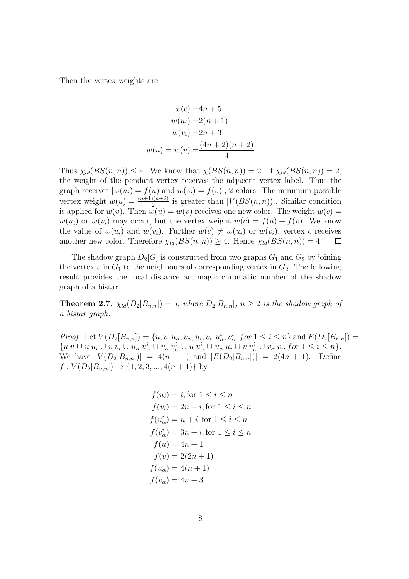$$
w(c) = 4n + 5
$$
  
\n
$$
w(u_i) = 2(n + 1)
$$
  
\n
$$
w(v_i) = 2n + 3
$$
  
\n
$$
w(u) = w(v) = \frac{(4n + 2)(n + 2)}{4}
$$

Thus  $\chi_{ld}(BS(n,n)) \leq 4$ . We know that  $\chi(BS(n,n)) = 2$ . If  $\chi_{ld}(BS(n,n)) = 2$ , the weight of the pendant vertex receives the adjacent vertex label. Thus the graph receives  $[w(u_i) = f(u)]$  and  $w(v_i) = f(v)$ , 2-colors. The minimum possible vertex weight  $w(u) = \frac{(n+1)(n+2)}{2}$  is greater than  $|V(BS(n,n))|$ . Similar condition is applied for  $w(v)$ . Then  $w(u) = w(v)$  receives one new color. The weight  $w(c) =$  $w(u_i)$  or  $w(v_i)$  may occur, but the vertex weight  $w(c) = f(u) + f(v)$ . We know the value of  $w(u_i)$  and  $w(v_i)$ . Further  $w(c) \neq w(u_i)$  or  $w(v_i)$ , vertex c receives another new color. Therefore  $\chi_{ld}(BS(n,n)) \geq 4$ . Hence  $\chi_{ld}(BS(n,n)) = 4$ .  $\Box$ 

The shadow graph  $D_2[G]$  is constructed from two graphs  $G_1$  and  $G_2$  by joining the vertex v in  $G_1$  to the neighbours of corresponding vertex in  $G_2$ . The following result provides the local distance antimagic chromatic number of the shadow graph of a bistar.

**Theorem 2.7.**  $\chi_{ld}(D_2|B_{n,n}) = 5$ , where  $D_2|B_{n,n}|$ ,  $n \geq 2$  is the shadow graph of *a bistar graph.*

*Proof.* Let  $V(D_2[B_{n,n}]) = \{u, v, u_\alpha, v_\alpha, u_i, v_i, u_\alpha^i, v_\alpha^i, for 1 \le i \le n\}$  and  $E(D_2[B_{n,n}]) =$  $\{u\;v\;\cup\;u\;u_i\;\cup\;v\;v_i\;\cup\;u_\alpha\;u_\alpha^i\;\cup\;u\;u_\alpha^i\;\cup\;u_\alpha\;u_i\;\cup\;v\;v_\alpha^i\;\cup\;v_\alpha\;v_i, for\;1\leq i\leq n\}.$ We have  $|V(D_2|B_{n,n})| = 4(n+1)$  and  $|E(D_2|B_{n,n})| = 2(4n+1)$ . Define  $f: V(D_2|B_{n,n}|) \to \{1, 2, 3, ..., 4(n+1)\}$  by

$$
f(u_i) = i, \text{for } 1 \leq i \leq n
$$
  
\n
$$
f(v_i) = 2n + i, \text{for } 1 \leq i \leq n
$$
  
\n
$$
f(u_{\alpha}^i) = n + i, \text{for } 1 \leq i \leq n
$$
  
\n
$$
f(v_{\alpha}^i) = 3n + i, \text{for } 1 \leq i \leq n
$$
  
\n
$$
f(u) = 4n + 1
$$
  
\n
$$
f(v) = 2(2n + 1)
$$
  
\n
$$
f(u_{\alpha}) = 4(n + 1)
$$
  
\n
$$
f(v_{\alpha}) = 4n + 3
$$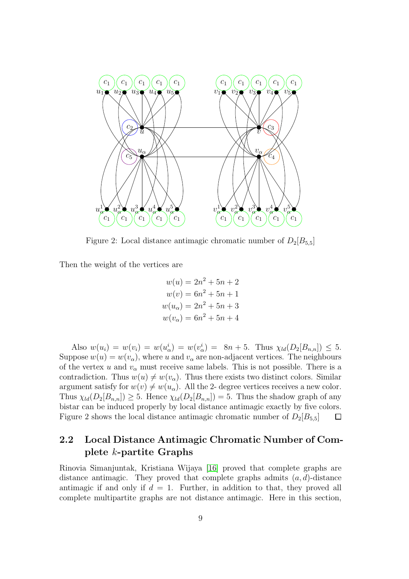

Figure 2: Local distance antimagic chromatic number of  $D_2[B_{5,5}]$ 

Then the weight of the vertices are

$$
w(u) = 2n^{2} + 5n + 2
$$
  
\n
$$
w(v) = 6n^{2} + 5n + 1
$$
  
\n
$$
w(u_{\alpha}) = 2n^{2} + 5n + 3
$$
  
\n
$$
w(v_{\alpha}) = 6n^{2} + 5n + 4
$$

Also  $w(u_i) = w(v_i) = w(u_{\alpha}^i) = w(v_{\alpha}^i) = 8n + 5$ . Thus  $\chi_{ld}(D_2[B_{n,n}]) \leq 5$ . Suppose  $w(u) = w(v_\alpha)$ , where u and  $v_\alpha$  are non-adjacent vertices. The neighbours of the vertex u and  $v_{\alpha}$  must receive same labels. This is not possible. There is a contradiction. Thus  $w(u) \neq w(v_\alpha)$ . Thus there exists two distinct colors. Similar argument satisfy for  $w(v) \neq w(u_\alpha)$ . All the 2- degree vertices receives a new color. Thus  $\chi_{ld}(D_2[B_{n,n}]) \geq 5$ . Hence  $\chi_{ld}(D_2[B_{n,n}]) = 5$ . Thus the shadow graph of any bistar can be induced properly by local distance antimagic exactly by five colors. Figure 2 shows the local distance antimagic chromatic number of  $D_2[B_{5,5}]$  $\Box$ 

### 2.2 Local Distance Antimagic Chromatic Number of Complete k-partite Graphs

Rinovia Simanjuntak, Kristiana Wijaya [\[16\]](#page-19-3) proved that complete graphs are distance antimagic. They proved that complete graphs admits  $(a, d)$ -distance antimagic if and only if  $d = 1$ . Further, in addition to that, they proved all complete multipartite graphs are not distance antimagic. Here in this section,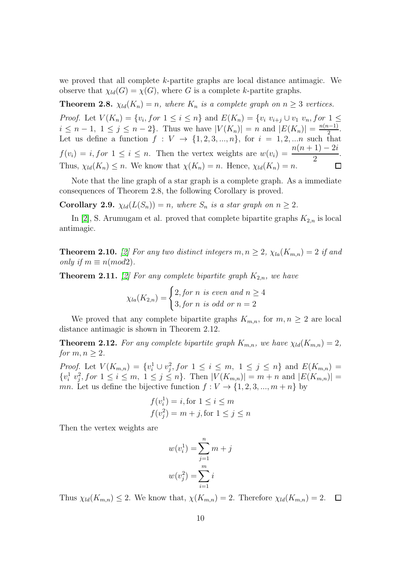we proved that all complete k-partite graphs are local distance antimagic. We observe that  $\chi_{ld}(G) = \chi(G)$ , where G is a complete k-partite graphs.

**Theorem 2.8.**  $\chi_{ld}(K_n) = n$ , where  $K_n$  is a complete graph on  $n \geq 3$  vertices.

*Proof.* Let  $V(K_n) = \{v_i, for \ 1 \le i \le n\}$  and  $E(K_n) = \{v_i, v_{i+j} \cup v_1, v_n, for \ 1 \le i \le n\}$  $i \leq n-1, \ 1 \leq j \leq n-2$ . Thus we have  $|V(K_n)| = n$  and  $|E(K_n)| = \frac{n(n-1)}{2}$  $\frac{i-1)}{2}$ . Let us define a function  $f: V \to \{1, 2, 3, ..., n\}$ , for  $i = 1, 2, ...n$  such that  $f(v_i) = i$ , for  $1 \leq i \leq n$ . Then the vertex weights are  $w(v_i) = \frac{n(n+1) - 2i}{2}$ . Thus,  $\chi_{ld}(K_n) \leq n$ . We know that  $\chi(K_n) = n$ . Hence,  $\chi_{ld}(K_n) = n$ .  $\Box$ 

Note that the line graph of a star graph is a complete graph. As a immediate consequences of Theorem 2.8, the following Corollary is proved.

**Corollary 2.9.**  $\chi_{ld}(L(S_n)) = n$ , where  $S_n$  is a star graph on  $n \geq 2$ .

In [\[2\]](#page-18-2), S. Arumugam et al. proved that complete bipartite graphs  $K_{2,n}$  is local antimagic.

**Theorem 2.10.** [\[2\]](#page-18-2) For any two distinct integers  $m, n \geq 2$ ,  $\chi_{la}(K_{m,n}) = 2$  if and *only if*  $m \equiv n (mod 2)$ .

**Theorem 2.11.** [\[2\]](#page-18-2) For any complete bipartite graph  $K_{2,n}$ , we have

$$
\chi_{la}(K_{2,n}) = \begin{cases} 2, \text{for } n \text{ is even and } n \ge 4 \\ 3, \text{for } n \text{ is odd or } n = 2 \end{cases}
$$

We proved that any complete bipartite graphs  $K_{m,n}$ , for  $m, n \geq 2$  are local distance antimagic is shown in Theorem 2.12.

**Theorem 2.12.** For any complete bipartite graph  $K_{m,n}$ , we have  $\chi_{ld}(K_{m,n}) = 2$ , *for*  $m, n \geq 2$ *.* 

*Proof.* Let  $V(K_{m,n}) = \{v_i^1 \cup v_j^2, for 1 \le i \le m, 1 \le j \le n\}$  and  $E(K_{m,n}) =$  $\{v_i^1, v_j^2, for \ 1 \le i \le m, \ 1 \le j \le n\}.$  Then  $|V(K_{m,n})| = m+n$  and  $|E(K_{m,n})| =$ mn. Let us define the bijective function  $f: V \to \{1, 2, 3, ..., m+n\}$  by

$$
f(v_i^1) = i, \text{for } 1 \le i \le m
$$
  

$$
f(v_j^2) = m + j, \text{for } 1 \le j \le n
$$

Then the vertex weights are

$$
w(v_i^1) = \sum_{j=1}^n m + j
$$

$$
w(v_j^2) = \sum_{i=1}^m i
$$

Thus  $\chi_{ld}(K_{m,n}) \leq 2$ . We know that,  $\chi(K_{m,n}) = 2$ . Therefore  $\chi_{ld}(K_{m,n}) = 2$ .  $\Box$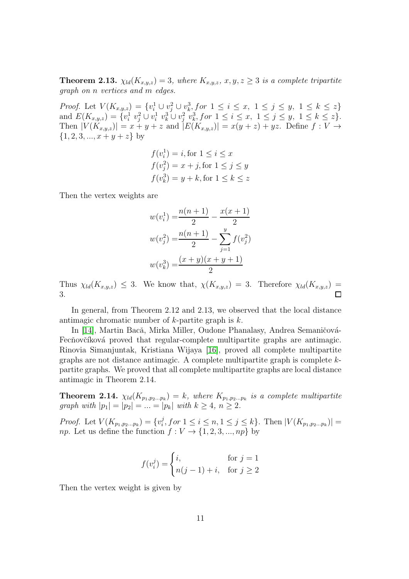**Theorem 2.13.**  $\chi_{ld}(K_{x,y,z}) = 3$ , where  $K_{x,y,z}$ ,  $x, y, z \geq 3$  is a complete tripartite *graph on* n *vertices and* m *edges.*

*Proof.* Let  $V(K_{x,y,z}) = \{v_i^1 \cup v_j^2 \cup v_k^3$ , for  $1 \le i \le x, 1 \le j \le y, 1 \le k \le z\}$ and  $E(K_{x,y,z}) = \{v_i^1 \ v_j^2 \cup v_i^1 \ v_k^3 \cup v_j^2 \ v_k^3$ , for  $1 \le i \le x, \ 1 \le j \le y, \ 1 \le k \le z\}.$ Then  $|V(K_{x,y,z})| = x + y + z$  and  $|E(K_{x,y,z})| = x(y + z) + yz$ . Define  $f: V \to \mathbb{R}$  $\{1, 2, 3, ..., x + y + z\}$  by

$$
f(v_i^1) = i, \text{for } 1 \le i \le x
$$
  

$$
f(v_j^2) = x + j, \text{for } 1 \le j \le y
$$
  

$$
f(v_k^3) = y + k, \text{for } 1 \le k \le z
$$

Then the vertex weights are

$$
w(v_i^1) = \frac{n(n+1)}{2} - \frac{x(x+1)}{2}
$$

$$
w(v_j^2) = \frac{n(n+1)}{2} - \sum_{j=1}^{y} f(v_j^2)
$$

$$
w(v_k^3) = \frac{(x+y)(x+y+1)}{2}
$$

Thus  $\chi_{ld}(K_{x,y,z}) \leq 3$ . We know that,  $\chi(K_{x,y,z}) = 3$ . Therefore  $\chi_{ld}(K_{x,y,z}) =$ 3.  $\Box$ 

In general, from Theorem 2.12 and 2.13, we observed that the local distance antimagic chromatic number of  $k$ -partite graph is  $k$ .

In [\[14\]](#page-19-7), Martin Bacă, Mirka Miller, Oudone Phanalasy, Andrea Semaničová-Fecňovčíková proved that regular-complete multipartite graphs are antimagic. Rinovia Simanjuntak, Kristiana Wijaya [\[16\]](#page-19-3), proved all complete multipartite graphs are not distance antimagic. A complete multipartite graph is complete kpartite graphs. We proved that all complete multipartite graphs are local distance antimagic in Theorem 2.14.

**Theorem 2.14.**  $\chi_{ld}(K_{p_1,p_2...p_k}) = k$ , where  $K_{p_1,p_2...p_k}$  is a complete multipartite *graph with*  $|p_1| = |p_2| = ... = |p_k|$  *with*  $k \ge 4, n \ge 2$ *.* 

*Proof.* Let  $V(K_{p_1, p_2...p_k}) = \{v_i^j\}$  $i<sub>i</sub>$ , for  $1 \le i \le n, 1 \le j \le k$ . Then  $|V(K_{p_1, p_2...p_k})|$  = *np*. Let us define the function  $f: V \to \{1, 2, 3, ..., np\}$  by

$$
f(v_i^j) = \begin{cases} i, & \text{for } j = 1\\ n(j-1) + i, & \text{for } j \ge 2 \end{cases}
$$

Then the vertex weight is given by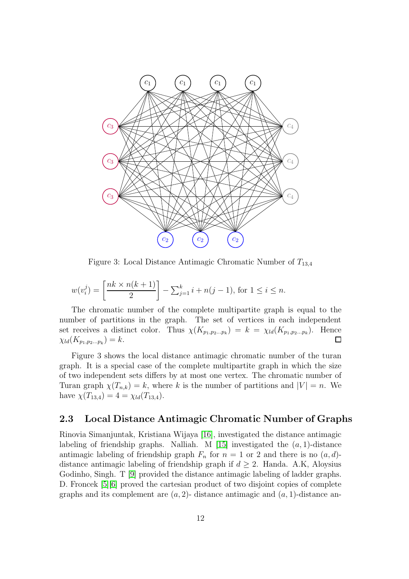

Figure 3: Local Distance Antimagic Chromatic Number of  $T_{13,4}$ 

$$
w(v_i^j) = \left[\frac{nk \times n(k+1)}{2}\right] - \sum_{j=1}^k i + n(j-1), \text{ for } 1 \le i \le n.
$$

The chromatic number of the complete multipartite graph is equal to the number of partitions in the graph. The set of vertices in each independent set receives a distinct color. Thus  $\chi(K_{p_1,p_2...p_k}) = k = \chi_{ld}(K_{p_1,p_2...p_k})$ . Hence  $\chi_{ld}(K_{p_1,p_2...p_k}) = k.$  $\Box$ 

Figure 3 shows the local distance antimagic chromatic number of the turan graph. It is a special case of the complete multipartite graph in which the size of two independent sets differs by at most one vertex. The chromatic number of Turan graph  $\chi(T_{n,k}) = k$ , where k is the number of partitions and  $|V| = n$ . We have  $\chi(T_{13,4}) = 4 = \chi_{ld}(T_{13,4}).$ 

### 2.3 Local Distance Antimagic Chromatic Number of Graphs

Rinovia Simanjuntak, Kristiana Wijaya [\[16\]](#page-19-3), investigated the distance antimagic labeling of friendship graphs. Nalliah. M [\[15\]](#page-19-8) investigated the  $(a, 1)$ -distance antimagic labeling of friendship graph  $F_n$  for  $n = 1$  or 2 and there is no  $(a, d)$ distance antimagic labeling of friendship graph if  $d \geq 2$ . Handa. A.K, Aloysius Godinho, Singh. T [\[9\]](#page-19-9) provided the distance antimagic labeling of ladder graphs. D. Froncek [\[5\]](#page-18-4)[\[6\]](#page-18-5) proved the cartesian product of two disjoint copies of complete graphs and its complement are  $(a, 2)$ - distance antimagic and  $(a, 1)$ -distance an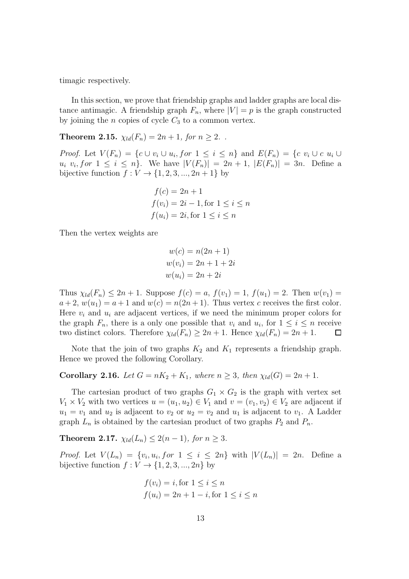timagic respectively.

In this section, we prove that friendship graphs and ladder graphs are local distance antimagic. A friendship graph  $F_n$ , where  $|V| = p$  is the graph constructed by joining the  $n$  copies of cycle  $C_3$  to a common vertex.

**Theorem 2.15.**  $\chi_{ld}(F_n) = 2n + 1$ , for  $n \geq 2$ .

*Proof.* Let  $V(F_n) = \{c \cup v_i \cup u_i, for 1 \le i \le n\}$  and  $E(F_n) = \{c \ v_i \cup c \ u_i \cup c \le i \le n\}$  $u_i \, v_i, for \, 1 \leq i \leq n$ . We have  $|V(F_n)| = 2n + 1, |E(F_n)| = 3n$ . Define a bijective function  $f: V \to \{1, 2, 3, ..., 2n + 1\}$  by

$$
f(c) = 2n + 1
$$
  
\n
$$
f(v_i) = 2i - 1, \text{ for } 1 \le i \le n
$$
  
\n
$$
f(u_i) = 2i, \text{ for } 1 \le i \le n
$$

Then the vertex weights are

$$
w(c) = n(2n + 1)
$$
  

$$
w(v_i) = 2n + 1 + 2i
$$
  

$$
w(u_i) = 2n + 2i
$$

Thus  $\chi_{ld}(F_n) \leq 2n + 1$ . Suppose  $f(c) = a, f(v_1) = 1, f(u_1) = 2$ . Then  $w(v_1) =$  $a+2, w(u_1) = a+1$  and  $w(c) = n(2n+1)$ . Thus vertex c receives the first color. Here  $v_i$  and  $u_i$  are adjacent vertices, if we need the minimum proper colors for the graph  $F_n$ , there is a only one possible that  $v_i$  and  $u_i$ , for  $1 \leq i \leq n$  receive two distinct colors. Therefore  $\chi_{ld}(F_n) \geq 2n + 1$ . Hence  $\chi_{ld}(F_n) = 2n + 1$ .  $\Box$ 

Note that the join of two graphs  $K_2$  and  $K_1$  represents a friendship graph. Hence we proved the following Corollary.

**Corollary 2.16.** *Let*  $G = nK_2 + K_1$ *, where*  $n \geq 3$ *, then*  $\chi_{ld}(G) = 2n + 1$ *.* 

The cartesian product of two graphs  $G_1 \times G_2$  is the graph with vertex set  $V_1 \times V_2$  with two vertices  $u = (u_1, u_2) \in V_1$  and  $v = (v_1, v_2) \in V_2$  are adjacent if  $u_1 = v_1$  and  $u_2$  is adjacent to  $v_2$  or  $u_2 = v_2$  and  $u_1$  is adjacent to  $v_1$ . A Ladder graph  $L_n$  is obtained by the cartesian product of two graphs  $P_2$  and  $P_n$ .

**Theorem 2.17.**  $\chi_{ld}(L_n) \leq 2(n-1)$ *, for*  $n \geq 3$ *.* 

*Proof.* Let  $V(L_n) = \{v_i, u_i, for \ 1 \leq i \leq 2n\}$  with  $|V(L_n)| = 2n$ . Define a bijective function  $f: V \to \{1, 2, 3, ..., 2n\}$  by

$$
f(v_i) = i, \text{for } 1 \le i \le n
$$
  

$$
f(u_i) = 2n + 1 - i, \text{for } 1 \le i \le n
$$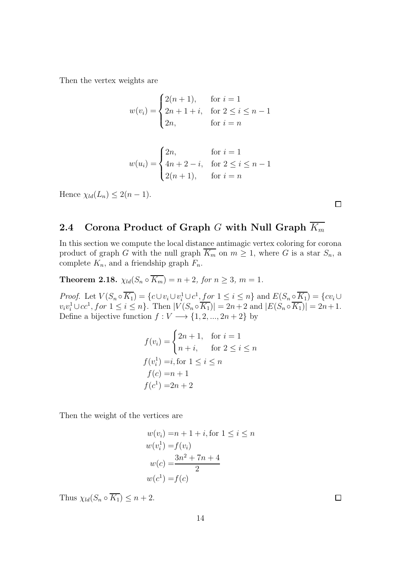$$
w(v_i) = \begin{cases} 2(n+1), & \text{for } i = 1\\ 2n+1+i, & \text{for } 2 \le i \le n-1\\ 2n, & \text{for } i = n \end{cases}
$$

$$
w(u_i) = \begin{cases} 2n, & \text{for } i = 1 \\ 4n + 2 - i, & \text{for } 2 \le i \le n - 1 \\ 2(n + 1), & \text{for } i = n \end{cases}
$$

Hence  $\chi_{ld}(L_n) \leq 2(n-1)$ .

### 2.4 Corona Product of Graph G with Null Graph  $\overline{K_m}$

In this section we compute the local distance antimagic vertex coloring for corona product of graph G with the null graph  $\overline{K_m}$  on  $m \geq 1$ , where G is a star  $S_n$ , a complete  $K_n$ , and a friendship graph  $F_n$ .

**Theorem 2.18.**  $\chi_{ld}(S_n \circ \overline{K_m}) = n + 2$ , for  $n \geq 3$ ,  $m = 1$ .

*Proof.* Let  $V(S_n \circ \overline{K_1}) = \{c \cup v_i \cup v_i^1 \cup c^1, \text{for } 1 \leq i \leq n\}$  and  $E(S_n \circ \overline{K_1}) = \{cv_i \cup v_i^1 \cup c^1, \text{for } 1 \leq i \leq n\}$  $v_i v_i^1 \cup cc^1$ , for  $1 \leq i \leq n$ . Then  $|V(S_n \circ \overline{K_1})| = 2n + 2$  and  $|E(S_n \circ \overline{K_1})| = 2n + 1$ . Define a bijective function  $f: V \longrightarrow \{1, 2, ..., 2n + 2\}$  by

$$
f(v_i) = \begin{cases} 2n+1, & \text{for } i = 1\\ n+i, & \text{for } 2 \le i \le n \end{cases}
$$
\n
$$
f(v_i^1) = i, \text{for } 1 \le i \le n
$$
\n
$$
f(c) = n+1
$$
\n
$$
f(c^1) = 2n+2
$$

Then the weight of the vertices are

$$
w(v_i) = n + 1 + i, \text{ for } 1 \le i \le n
$$
  
\n
$$
w(v_i^1) = f(v_i)
$$
  
\n
$$
w(c) = \frac{3n^2 + 7n + 4}{2}
$$
  
\n
$$
w(c^1) = f(c)
$$

Thus  $\chi_{ld}(S_n \circ \overline{K_1}) \leq n+2$ .

 $\Box$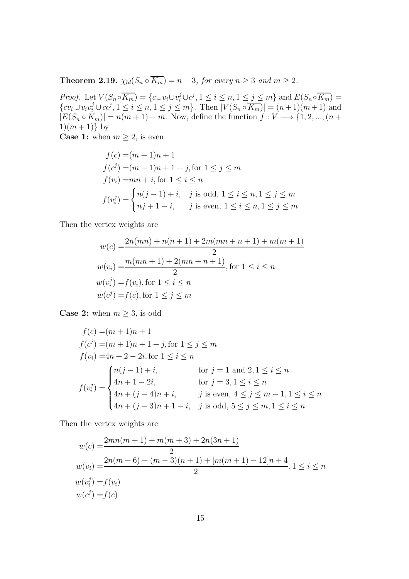**Theorem 2.19.**  $\chi_{ld}(S_n \circ \overline{K_m}) = n + 3$ , for every  $n \geq 3$  and  $m \geq 2$ .

*Proof.* Let  $V(S_n \circ \overline{K_m}) = \{c \cup v_i \cup v_i^j \cup c^j, 1 \le i \le n, 1 \le j \le m\}$  and  $E(S_n \circ \overline{K_m}) =$ { $cv_i \cup v_iv_i^j \cup cc^j, 1 \le i \le n, 1 \le j \le m$ }. Then  $|V(S_n \circ \overline{K_m})| = (n+1)(m+1)$  and  $|E(S_n \circ K_m)| = n(m+1) + m$ . Now, define the function  $f: V \longrightarrow \{1, 2, ..., (n+1)\}$  $1)(m + 1)$  by

**Case 1:** when  $m \geq 2$ , is even

$$
f(c) = (m+1)n + 1
$$
  
\n
$$
f(c^j) = (m+1)n + 1 + j, \text{ for } 1 \le j \le m
$$
  
\n
$$
f(v_i) = mn + i, \text{ for } 1 \le i \le n
$$
  
\n
$$
f(v_i^j) = \begin{cases} n(j-1) + i, & j \text{ is odd, } 1 \le i \le n, 1 \le j \le m \\ nj + 1 - i, & j \text{ is even, } 1 \le i \le n, 1 \le j \le m \end{cases}
$$

Then the vertex weights are

$$
w(c) = \frac{2n(mn) + n(n+1) + 2m(mn + n + 1) + m(m+1)}{2}
$$
  
\n
$$
w(v_i) = \frac{m(mn + 1) + 2(mn + n + 1)}{2}
$$
, for  $1 \le i \le n$   
\n
$$
w(v_i^j) = f(v_i)
$$
, for  $1 \le i \le n$   
\n
$$
w(c^j) = f(c)
$$
, for  $1 \le j \le m$ 

**Case 2:** when  $m \geq 3$ , is odd

$$
f(c) = (m+1)n + 1
$$
  
\n
$$
f(c^{j}) = (m+1)n + 1 + j, \text{ for } 1 \leq j \leq m
$$
  
\n
$$
f(v_{i}) = 4n + 2 - 2i, \text{ for } 1 \leq i \leq n
$$
  
\n
$$
f(v_{i}^{j}) = \begin{cases} n(j-1) + i, & \text{for } j = 1 \text{ and } 2, 1 \leq i \leq n \\ 4n + 1 - 2i, & \text{for } j = 3, 1 \leq i \leq n \\ 4n + (j-4)n + i, & j \text{ is even, } 4 \leq j \leq m - 1, 1 \leq i \leq n \\ 4n + (j-3)n + 1 - i, & j \text{ is odd, } 5 \leq j \leq m, 1 \leq i \leq n \end{cases}
$$

Then the vertex weights are

$$
w(c) = \frac{2mn(m+1) + m(m+3) + 2n(3n+1)}{2}
$$
  
\n
$$
w(v_i) = \frac{2n(m+6) + (m-3)(n+1) + [m(m+1) - 12]n + 4}{2}, 1 \le i \le n
$$
  
\n
$$
w(v_i^j) = f(v_i)
$$
  
\n
$$
w(c^j) = f(c)
$$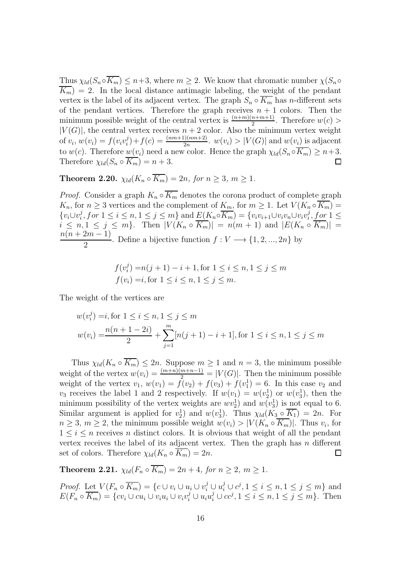Thus  $\chi_{ld}(S_n \circ \overline{K_m}) \leq n+3$ , where  $m \geq 2$ . We know that chromatic number  $\chi(S_n \circ \overline{K_m})$  $K_m$ ) = 2. In the local distance antimagic labeling, the weight of the pendant vertex is the label of its adjacent vertex. The graph  $S_n \circ \overline{K_m}$  has *n*-different sets of the pendant vertices. Therefore the graph receives  $n + 1$  colors. Then the minimum possible weight of the central vertex is  $\frac{(n+m)(n+m+1)}{2}$ . Therefore  $w(c)$  $|V(G)|$ , the central vertex receives  $n + 2$  color. Also the minimum vertex weight of  $v_i$ ,  $w(v_i) = f(v_i v_i^j)$  $y_i^j$  +  $f(c) = \frac{(nm+1)(nm+2)}{2n}$ .  $w(v_i) > |V(G)|$  and  $w(v_i)$  is adjacent to w(c). Therefore  $w(v_i)$  need a new color. Hence the graph  $\chi_{ld}(S_n \circ \overline{K_m}) \geq n+3$ . Therefore  $\chi_{ld}(S_n \circ \overline{K_m}) = n + 3$ .  $\Box$ 

**Theorem 2.20.**  $\chi_{ld}(K_n \circ \overline{K_m}) = 2n$ , for  $n > 3$ ,  $m > 1$ .

*Proof.* Consider a graph  $K_n \circ \overline{K_m}$  denotes the corona product of complete graph  $K_n$ , for  $n \geq 3$  vertices and the complement of  $K_m$ , for  $m \geq 1$ . Let  $V(K_n \circ \overline{K_m}) =$  ${v_i \cup v_i^j}$  $i, for 1 \leq i \leq n, 1 \leq j \leq m$ } and  $E(K_n \circ \overline{K_m}) = \{v_i v_{i+1} \cup v_i v_n \cup v_i v_i^j\}$  $i, for 1 \leq$  $i \leq n, 1 \leq j \leq m$ . Then  $|V(K_n \circ \overline{K_m})| = n(m+1)$  and  $|E(K_n \circ \overline{K_m})|$  $n(n+2m-1)$ 2 . Define a bijective function  $f: V \longrightarrow \{1, 2, ..., 2n\}$  by

$$
f(v_i^j) = n(j+1) - i + 1, \text{ for } 1 \le i \le n, 1 \le j \le m
$$
  

$$
f(v_i) = i, \text{ for } 1 \le i \le n, 1 \le j \le m.
$$

The weight of the vertices are

$$
w(v_i^j) = i, \text{for } 1 \le i \le n, 1 \le j \le m
$$
  

$$
w(v_i) = \frac{n(n+1-2i)}{2} + \sum_{j=1}^m [n(j+1) - i + 1], \text{for } 1 \le i \le n, 1 \le j \le m
$$

Thus  $\chi_{ld}(K_n \circ K_m) \leq 2n$ . Suppose  $m \geq 1$  and  $n = 3$ , the minimum possible weight of the vertex  $w(v_i) = \frac{(m+n)(m+n-1)}{2} = |V(G)|$ . Then the minimum possible weight of the vertex  $v_1, w(v_1) = \overline{f}(v_2) + f(v_3) + f(v_1^1) = 6$ . In this case  $v_2$  and  $v_3$  receives the label 1 and 2 respectively. If  $w(v_1) = w(v_2^1)$  or  $w(v_3^1)$ , then the minimum possibility of the vertex weights are  $wv_2^1$  and  $w(v_3^1)$  is not equal to 6. Similar argument is applied for  $v_2^1$  and  $w(v_3^1)$ . Thus  $\chi_{ld}(K_3 \circ \overline{K_1}) = 2n$ . For  $n \geq 3, m \geq 2$ , the minimum possible weight  $w(v_i) > |V(K_n \circ K_m)|$ . Thus  $v_i$ , for  $1 \leq i \leq n$  receives *n* distinct colors. It is obvious that weight of all the pendant vertex receives the label of its adjacent vertex. Then the graph has  $n$  different set of colors. Therefore  $\chi_{ld}(K_n \circ \overline{K_m}) = 2n$ .  $\Box$ 

**Theorem 2.21.**  $\chi_{ld}(F_n \circ \overline{K_m}) = 2n + 4$ , for  $n > 2$ ,  $m > 1$ .

*Proof.* Let  $V(F_n \circ \overline{K_m}) = \{c \cup v_i \cup u_i \cup v_i^j \cup u_i^j \cup c^j, 1 \le i \le n, 1 \le j \le m\}$  and  $E(F_n \circ \overline{K_m}) = \{cv_i \cup cu_i \cup v_iu_i \cup v_iv_i^j \cup u_iu_i^j \cup cc^j, 1 \le i \le n, 1 \le j \le m\}.$  Then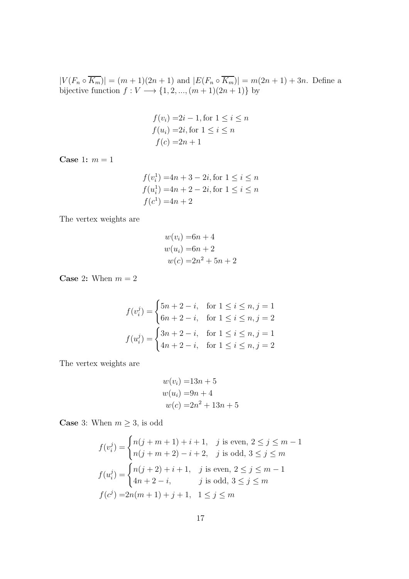$|V(F_n \circ \overline{K_m})| = (m+1)(2n+1)$  and  $|E(F_n \circ \overline{K_m})| = m(2n+1) + 3n$ . Define a bijective function  $f: V \longrightarrow \{1, 2, ..., (m + 1)(2n + 1)\}$  by

$$
f(v_i) = 2i - 1, \text{ for } 1 \le i \le n
$$
  

$$
f(u_i) = 2i, \text{ for } 1 \le i \le n
$$
  

$$
f(c) = 2n + 1
$$

Case 1:  $m = 1$ 

$$
f(v_i^1) = 4n + 3 - 2i, \text{ for } 1 \le i \le n
$$
  

$$
f(u_i^1) = 4n + 2 - 2i, \text{ for } 1 \le i \le n
$$
  

$$
f(c^1) = 4n + 2
$$

The vertex weights are

$$
w(vi) = 6n + 4
$$
  

$$
w(ui) = 6n + 2
$$
  

$$
w(c) = 2n2 + 5n + 2
$$

**Case 2:** When  $m = 2$ 

$$
f(v_i^j) = \begin{cases} 5n + 2 - i, & \text{for } 1 \le i \le n, j = 1 \\ 6n + 2 - i, & \text{for } 1 \le i \le n, j = 2 \end{cases}
$$

$$
f(u_i^j) = \begin{cases} 3n + 2 - i, & \text{for } 1 \le i \le n, j = 1 \\ 4n + 2 - i, & \text{for } 1 \le i \le n, j = 2 \end{cases}
$$

The vertex weights are

$$
w(vi) = 13n + 5
$$
  
\n
$$
w(ui) = 9n + 4
$$
  
\n
$$
w(c) = 2n2 + 13n + 5
$$

**Case** 3: When  $m \geq 3$ , is odd

$$
f(v_i^j) = \begin{cases} n(j+m+1) + i + 1, & j \text{ is even, } 2 \le j \le m-1 \\ n(j+m+2) - i + 2, & j \text{ is odd, } 3 \le j \le m \end{cases}
$$
  

$$
f(u_i^j) = \begin{cases} n(j+2) + i + 1, & j \text{ is even, } 2 \le j \le m-1 \\ 4n+2 - i, & j \text{ is odd, } 3 \le j \le m \end{cases}
$$
  

$$
f(c^j) = 2n(m+1) + j + 1, \quad 1 \le j \le m
$$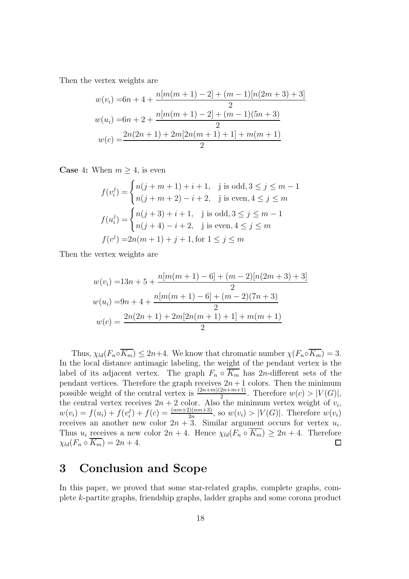$$
w(v_i) = 6n + 4 + \frac{n[m(m+1) - 2] + (m-1)[n(2m+3) + 3]}{2}
$$
  

$$
w(u_i) = 6n + 2 + \frac{n[m(m+1) - 2] + (m-1)(5n+3)}{2}
$$
  

$$
w(c) = \frac{2n(2n+1) + 2m[2n(m+1) + 1] + m(m+1)}{2}
$$

**Case** 4: When  $m \geq 4$ , is even

$$
f(v_i^j) = \begin{cases} n(j+m+1) + i + 1, & j \text{ is odd}, 3 \le j \le m-1 \\ n(j+m+2) - i + 2, & j \text{ is even}, 4 \le j \le m \end{cases}
$$

$$
f(u_i^j) = \begin{cases} n(j+3) + i + 1, & j \text{ is odd}, 3 \le j \le m-1 \\ n(j+4) - i + 2, & j \text{ is even}, 4 \le j \le m \end{cases}
$$

$$
f(c^j) = 2n(m+1) + j + 1, \text{for } 1 \le j \le m
$$

Then the vertex weights are

$$
w(v_i) = 13n + 5 + \frac{n[m(m+1) - 6] + (m-2)[n(2m+3) + 3]}{2}
$$
  

$$
w(u_i) = 9n + 4 + \frac{n[m(m+1) - 6] + (m-2)(7n+3)}{2}
$$
  

$$
w(c) = \frac{2n(2n + 1) + 2m[2n(m + 1) + 1] + m(m + 1)}{2}
$$

Thus,  $\chi_{ld}(F_n \circ \overline{K_m}) \leq 2n+4$ . We know that chromatic number  $\chi(F_n \circ \overline{K_m}) = 3$ . In the local distance antimagic labeling, the weight of the pendant vertex is the label of its adjacent vertex. The graph  $F_n \circ \overline{K_m}$  has 2n-different sets of the pendant vertices. Therefore the graph receives  $2n+1$  colors. Then the minimum possible weight of the central vertex is  $\frac{(2n+m)(2n+m+1)}{2}$ . Therefore  $w(c) > |V(G)|$ , the central vertex receives  $2n + 2$  color. Also the minimum vertex weight of  $v_i$ ,  $w(v_i) = f(u_i) + f(v_i^j)$  $j_i^j$  +  $f(c) = \frac{(nm+2)(nm+3)}{2n}$ , so  $w(v_i) > |V(G)|$ . Therefore  $w(v_i)$ receives an another new color  $2n + 3$ . Similar argument occurs for vertex  $u_i$ . Thus  $u_i$  receives a new color  $2n + 4$ . Hence  $\chi_{ld}(F_n \circ \overline{K_m}) \geq 2n + 4$ . Therefore  $\chi_{ld}(F_n \circ K_m) = 2n + 4.$  $\Box$ 

## 3 Conclusion and Scope

In this paper, we proved that some star-related graphs, complete graphs, complete k-partite graphs, friendship graphs, ladder graphs and some corona product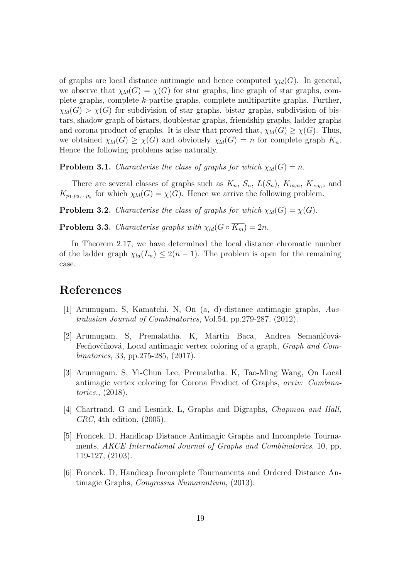of graphs are local distance antimagic and hence computed  $\chi_{ld}(G)$ . In general, we observe that  $\chi_{ld}(G) = \chi(G)$  for star graphs, line graph of star graphs, complete graphs, complete k-partite graphs, complete multipartite graphs. Further,  $\chi_{ld}(G) > \chi(G)$  for subdivision of star graphs, bistar graphs, subdivision of bistars, shadow graph of bistars, doublestar graphs, friendship graphs, ladder graphs and corona product of graphs. It is clear that proved that,  $\chi_{ld}(G) \geq \chi(G)$ . Thus, we obtained  $\chi_{ld}(G) \geq \chi(G)$  and obviously  $\chi_{ld}(G) = n$  for complete graph  $K_n$ . Hence the following problems arise naturally.

**Problem 3.1.** *Characterise the class of graphs for which*  $\chi_{ld}(G) = n$ .

There are several classes of graphs such as  $K_n$ ,  $S_n$ ,  $L(S_n)$ ,  $K_{m,n}$ ,  $K_{x,y,z}$  and  $K_{p_1,p_2,...p_k}$  for which  $\chi_{ld}(G) = \chi(G)$ . Hence we arrive the following problem.

**Problem 3.2.** *Characterise the class of graphs for which*  $\chi_{ld}(G) = \chi(G)$ .

**Problem 3.3.** *Characterise graphs with*  $\chi_{ld}(G \circ \overline{K_m}) = 2n$ *.* 

In Theorem 2.17, we have determined the local distance chromatic number of the ladder graph  $\chi_{ld}(L_n) \leq 2(n-1)$ . The problem is open for the remaining case.

### <span id="page-18-1"></span>References

- [1] Arumugam. S, Kamatchi. N, On (a, d)-distance antimagic graphs, *Australasian Journal of Combinatorics*, Vol.54, pp.279-287, (2012).
- <span id="page-18-2"></span>[2] Arumugam. S, Premalatha. K, Martin Baca, Andrea Semaničová-Fecňovčíková, Local antimagic vertex coloring of a graph, *Graph and Combinatorics*, 33, pp.275-285, (2017).
- <span id="page-18-3"></span>[3] Arumugam. S, Yi-Chun Lee, Premalatha. K, Tao-Ming Wang, On Local antimagic vertex coloring for Corona Product of Graphs, *arxiv: Combinatorics.*, (2018).
- <span id="page-18-0"></span>[4] Chartrand. G and Lesniak. L, Graphs and Digraphs, *Chapman and Hall, CRC*, 4th edition, (2005).
- <span id="page-18-4"></span>[5] Froncek. D, Handicap Distance Antimagic Graphs and Incomplete Tournaments, *AKCE International Journal of Graphs and Combinatorics*, 10, pp. 119-127, (2103).
- <span id="page-18-5"></span>[6] Froncek. D, Handicap Incomplete Tournaments and Ordered Distance Antimagic Graphs, *Congressus Numarantium*, (2013).